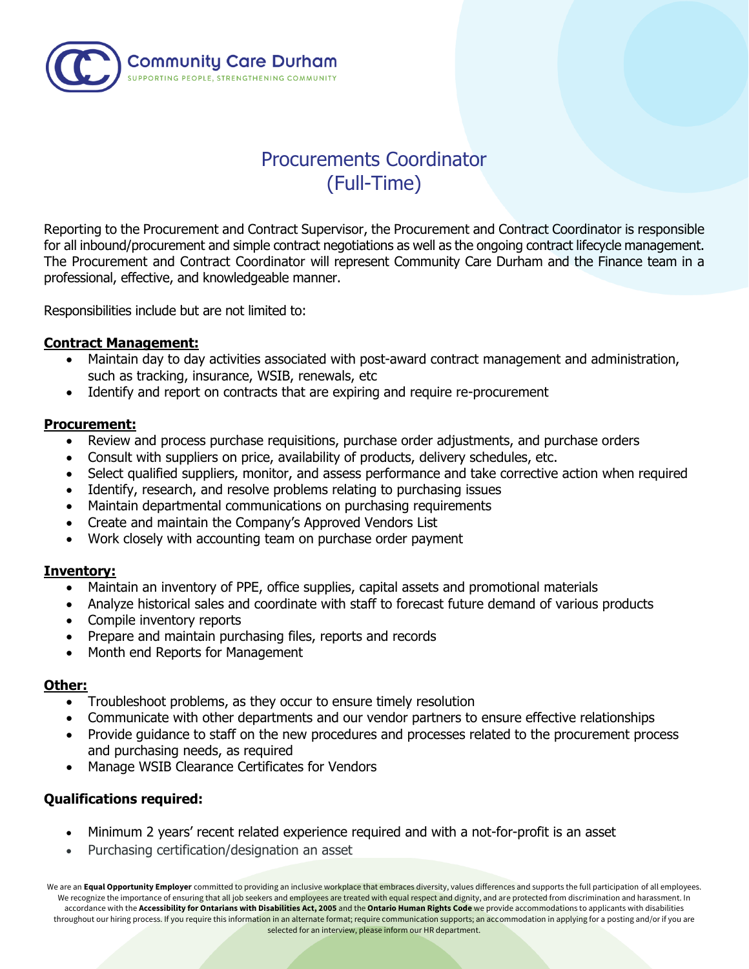

# Procurements Coordinator (Full-Time)

Reporting to the Procurement and Contract Supervisor, the Procurement and Contract Coordinator is responsible for all inbound/procurement and simple contract negotiations as well as the ongoing contract lifecycle management. The Procurement and Contract Coordinator will represent Community Care Durham and the Finance team in a professional, effective, and knowledgeable manner.

Responsibilities include but are not limited to:

### **Contract Management:**

- Maintain day to day activities associated with post-award contract management and administration, such as tracking, insurance, WSIB, renewals, etc
- Identify and report on contracts that are expiring and require re-procurement

### **Procurement:**

- Review and process purchase requisitions, purchase order adjustments, and purchase orders
- Consult with suppliers on price, availability of products, delivery schedules, etc.
- Select qualified suppliers, monitor, and assess performance and take corrective action when required
- Identify, research, and resolve problems relating to purchasing issues
- Maintain departmental communications on purchasing requirements
- Create and maintain the Company's Approved Vendors List
- Work closely with accounting team on purchase order payment

### **Inventory:**

- Maintain an inventory of PPE, office supplies, capital assets and promotional materials
- Analyze historical sales and coordinate with staff to forecast future demand of various products
- Compile inventory reports
- Prepare and maintain purchasing files, reports and records
- Month end Reports for Management

### **Other:**

- Troubleshoot problems, as they occur to ensure timely resolution
- Communicate with other departments and our vendor partners to ensure effective relationships
- Provide quidance to staff on the new procedures and processes related to the procurement process and purchasing needs, as required
- Manage WSIB Clearance Certificates for Vendors

# **Qualifications required:**

- Minimum 2 years' recent related experience required and with a not-for-profit is an asset
- Purchasing certification/designation an asset

We are an Equal Opportunity Employer committed to providing an inclusive workplace that embraces diversity, values differences and supports the full participation of all employees. We recognize the importance of ensuring that all job seekers and employees are treated with equal respect and dignity, and are protected from discrimination and harassment. In accordance with the **Accessibility for Ontarians with Disabilities Act, 2005** and the **Ontario Human Rights Code** we provide accommodations to applicants with disabilities throughout our hiring process. If you require this information in an alternate format; require communication supports; an accommodation in applying for a posting and/or if you are selected for an interview, please inform our HR department.